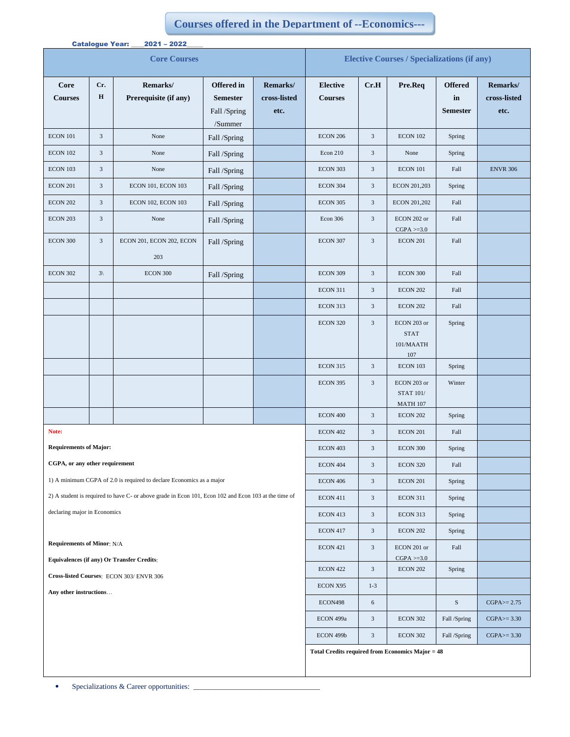## **Courses offered in the Department of --Economics---**

| <b>Catalogue Year:</b><br>$2021 - 2022$                                                              |                    |                                   |                                                                 |                                  |                                                    |                             |                                                    |                                         |                                  |
|------------------------------------------------------------------------------------------------------|--------------------|-----------------------------------|-----------------------------------------------------------------|----------------------------------|----------------------------------------------------|-----------------------------|----------------------------------------------------|-----------------------------------------|----------------------------------|
| <b>Core Courses</b>                                                                                  |                    |                                   |                                                                 |                                  | <b>Elective Courses / Specializations (if any)</b> |                             |                                                    |                                         |                                  |
| <b>Core</b><br><b>Courses</b>                                                                        | Cr.<br>$\mathbf H$ | Remarks/<br>Prerequisite (if any) | <b>Offered</b> in<br><b>Semester</b><br>Fall /Spring<br>/Summer | Remarks/<br>cross-listed<br>etc. | <b>Elective</b><br><b>Courses</b>                  | Cr.H                        | Pre.Req                                            | <b>Offered</b><br>in<br><b>Semester</b> | Remarks/<br>cross-listed<br>etc. |
| ECON 101                                                                                             | $\mathfrak{Z}$     | None                              | Fall /Spring                                                    |                                  | <b>ECON 206</b>                                    | 3                           | <b>ECON 102</b>                                    | Spring                                  |                                  |
| <b>ECON 102</b>                                                                                      | $\mathfrak{Z}$     | None                              | Fall /Spring                                                    |                                  | Econ 210                                           | 3                           | None                                               | Spring                                  |                                  |
| <b>ECON 103</b>                                                                                      | $\mathfrak{Z}$     | None                              | Fall /Spring                                                    |                                  | <b>ECON 303</b>                                    | $\sqrt{3}$                  | ECON 101                                           | Fall                                    | <b>ENVR 306</b>                  |
| <b>ECON 201</b>                                                                                      | $\mathfrak{Z}$     | ECON 101, ECON 103                | Fall /Spring                                                    |                                  | ECON 304                                           | $\sqrt{3}$                  | ECON 201,203                                       | Spring                                  |                                  |
| <b>ECON 202</b>                                                                                      | $\mathfrak{Z}$     | ECON 102, ECON 103                | Fall /Spring                                                    |                                  | <b>ECON 305</b>                                    | $\mathfrak{Z}$              | ECON 201,202                                       | Fall                                    |                                  |
| <b>ECON 203</b>                                                                                      | $\mathfrak{Z}$     | None                              | Fall /Spring                                                    |                                  | <b>Econ 306</b>                                    | $\mathfrak{Z}$              | ECON 202 or<br>$CGPA > = 3.0$                      | Fall                                    |                                  |
| ECON 300                                                                                             | $\mathfrak{Z}$     | ECON 201, ECON 202, ECON<br>203   | Fall /Spring                                                    |                                  | <b>ECON 307</b>                                    | $\ensuremath{\mathfrak{Z}}$ | <b>ECON 201</b>                                    | Fall                                    |                                  |
| <b>ECON 302</b>                                                                                      | $3\langle$         | <b>ECON 300</b>                   | Fall /Spring                                                    |                                  | <b>ECON 309</b>                                    | $\sqrt{3}$                  | ECON 300                                           | Fall                                    |                                  |
|                                                                                                      |                    |                                   |                                                                 |                                  | <b>ECON 311</b>                                    | 3                           | <b>ECON 202</b>                                    | Fall                                    |                                  |
|                                                                                                      |                    |                                   |                                                                 |                                  | <b>ECON 313</b>                                    | 3                           | <b>ECON 202</b>                                    | Fall                                    |                                  |
|                                                                                                      |                    |                                   |                                                                 |                                  | <b>ECON 320</b>                                    | $\mathfrak{Z}$              | ECON 203 or<br><b>STAT</b><br>101/MAATH<br>107     | Spring                                  |                                  |
|                                                                                                      |                    |                                   |                                                                 |                                  | <b>ECON 315</b>                                    | $\sqrt{3}$                  | ECON 103                                           | Spring                                  |                                  |
|                                                                                                      |                    |                                   |                                                                 |                                  | <b>ECON 395</b>                                    | $\sqrt{3}$                  | ECON 203 or<br><b>STAT 101/</b><br><b>MATH 107</b> | Winter                                  |                                  |
|                                                                                                      |                    |                                   |                                                                 |                                  | ECON 400                                           | $\sqrt{3}$                  | <b>ECON 202</b>                                    | Spring                                  |                                  |
| Note:                                                                                                |                    |                                   |                                                                 |                                  | <b>ECON 402</b>                                    | $\sqrt{3}$                  | <b>ECON 201</b>                                    | Fall                                    |                                  |
| <b>Requirements of Major:</b>                                                                        |                    |                                   |                                                                 |                                  | ECON 403                                           | 3                           | $\rm ECON$ 300                                     | Spring                                  |                                  |
| CGPA, or any other requirement                                                                       |                    |                                   |                                                                 |                                  | ECON 404                                           | $\sqrt{3}$                  | <b>ECON 320</b>                                    | Fall                                    |                                  |
| 1) A minimum CGPA of 2.0 is required to declare Economics as a major                                 |                    |                                   |                                                                 |                                  | ECON 406                                           | $\sqrt{3}$                  | <b>ECON 201</b>                                    | Spring                                  |                                  |
| 2) A student is required to have C- or above grade in Econ 101, Econ 102 and Econ 103 at the time of |                    |                                   |                                                                 |                                  | <b>ECON 411</b>                                    | 3                           | <b>ECON 311</b>                                    | Spring                                  |                                  |
| declaring major in Economics                                                                         |                    |                                   |                                                                 |                                  | ECON 413                                           | $\sqrt{3}$                  | ECON 313                                           | Spring                                  |                                  |
|                                                                                                      |                    |                                   |                                                                 |                                  | ECON 417                                           | 3                           | <b>ECON 202</b>                                    | Spring                                  |                                  |
| <b>Requirements of Minor: N/A</b>                                                                    |                    |                                   |                                                                 |                                  | ECON 421                                           | $\ensuremath{\mathfrak{Z}}$ | ECON 201 or<br>$CGPA > = 3.0$                      | Fall                                    |                                  |
| Equivalences (if any) Or Transfer Credits:                                                           |                    |                                   |                                                                 |                                  | <b>ECON 422</b>                                    | $\sqrt{3}$                  | <b>ECON 202</b>                                    | Spring                                  |                                  |
| Cross-listed Courses: ECON 303/ENVR 306                                                              |                    |                                   |                                                                 |                                  | ECON X95                                           | $1-3$                       |                                                    |                                         |                                  |
| Any other instructions                                                                               |                    |                                   |                                                                 |                                  | ECON498                                            | 6                           |                                                    | ${\bf S}$                               | $CGPA \ge 2.75$                  |
|                                                                                                      |                    |                                   |                                                                 |                                  | ECON 499a                                          | $\sqrt{3}$                  | <b>ECON 302</b>                                    | Fall /Spring                            | $CGPA \ge 3.30$                  |
|                                                                                                      |                    |                                   |                                                                 |                                  | ECON 499b                                          | $\mathfrak{Z}$              | ECON 302                                           | Fall /Spring                            | $CGPA \geq 3.30$                 |
|                                                                                                      |                    |                                   |                                                                 |                                  | Total Credits required from Economics Major = 48   |                             |                                                    |                                         |                                  |